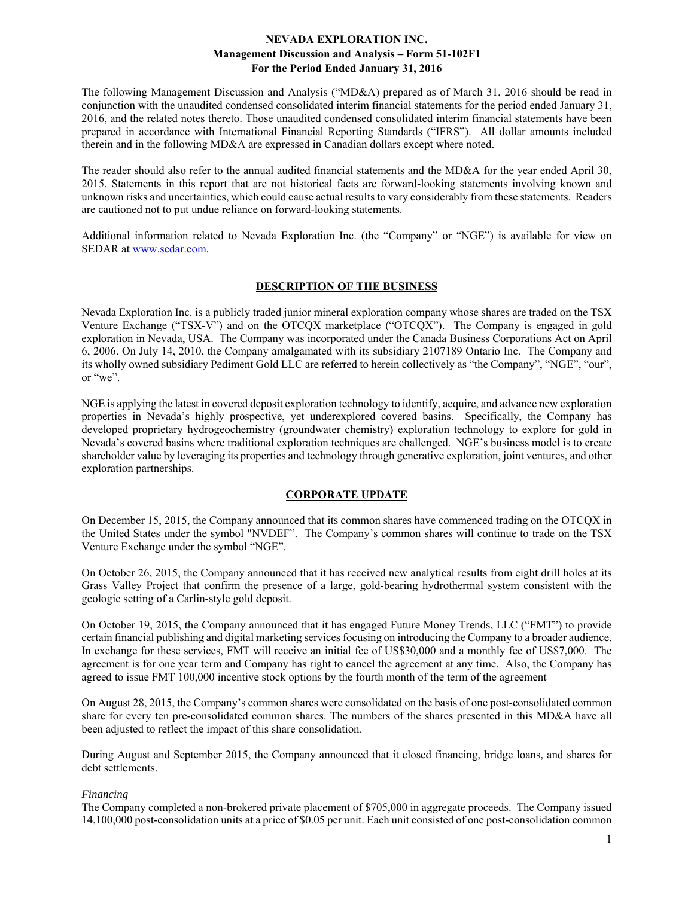The following Management Discussion and Analysis ("MD&A) prepared as of March 31, 2016 should be read in conjunction with the unaudited condensed consolidated interim financial statements for the period ended January 31, 2016, and the related notes thereto. Those unaudited condensed consolidated interim financial statements have been prepared in accordance with International Financial Reporting Standards ("IFRS"). All dollar amounts included therein and in the following MD&A are expressed in Canadian dollars except where noted.

The reader should also refer to the annual audited financial statements and the MD&A for the year ended April 30, 2015. Statements in this report that are not historical facts are forward-looking statements involving known and unknown risks and uncertainties, which could cause actual results to vary considerably from these statements. Readers are cautioned not to put undue reliance on forward-looking statements.

Additional information related to Nevada Exploration Inc. (the "Company" or "NGE") is available for view on SEDAR at www.sedar.com.

## **DESCRIPTION OF THE BUSINESS**

Nevada Exploration Inc. is a publicly traded junior mineral exploration company whose shares are traded on the TSX Venture Exchange ("TSX-V") and on the OTCQX marketplace ("OTCQX"). The Company is engaged in gold exploration in Nevada, USA. The Company was incorporated under the Canada Business Corporations Act on April 6, 2006. On July 14, 2010, the Company amalgamated with its subsidiary 2107189 Ontario Inc. The Company and its wholly owned subsidiary Pediment Gold LLC are referred to herein collectively as "the Company", "NGE", "our", or "we".

NGE is applying the latest in covered deposit exploration technology to identify, acquire, and advance new exploration properties in Nevada's highly prospective, yet underexplored covered basins. Specifically, the Company has developed proprietary hydrogeochemistry (groundwater chemistry) exploration technology to explore for gold in Nevada's covered basins where traditional exploration techniques are challenged. NGE's business model is to create shareholder value by leveraging its properties and technology through generative exploration, joint ventures, and other exploration partnerships.

## **CORPORATE UPDATE**

On December 15, 2015, the Company announced that its common shares have commenced trading on the OTCQX in the United States under the symbol "NVDEF". The Company's common shares will continue to trade on the TSX Venture Exchange under the symbol "NGE".

On October 26, 2015, the Company announced that it has received new analytical results from eight drill holes at its Grass Valley Project that confirm the presence of a large, gold-bearing hydrothermal system consistent with the geologic setting of a Carlin-style gold deposit.

On October 19, 2015, the Company announced that it has engaged Future Money Trends, LLC ("FMT") to provide certain financial publishing and digital marketing services focusing on introducing the Company to a broader audience. In exchange for these services, FMT will receive an initial fee of US\$30,000 and a monthly fee of US\$7,000. The agreement is for one year term and Company has right to cancel the agreement at any time. Also, the Company has agreed to issue FMT 100,000 incentive stock options by the fourth month of the term of the agreement

On August 28, 2015, the Company's common shares were consolidated on the basis of one post-consolidated common share for every ten pre-consolidated common shares. The numbers of the shares presented in this MD&A have all been adjusted to reflect the impact of this share consolidation.

During August and September 2015, the Company announced that it closed financing, bridge loans, and shares for debt settlements.

## *Financing*

The Company completed a non-brokered private placement of \$705,000 in aggregate proceeds. The Company issued 14,100,000 post-consolidation units at a price of \$0.05 per unit. Each unit consisted of one post-consolidation common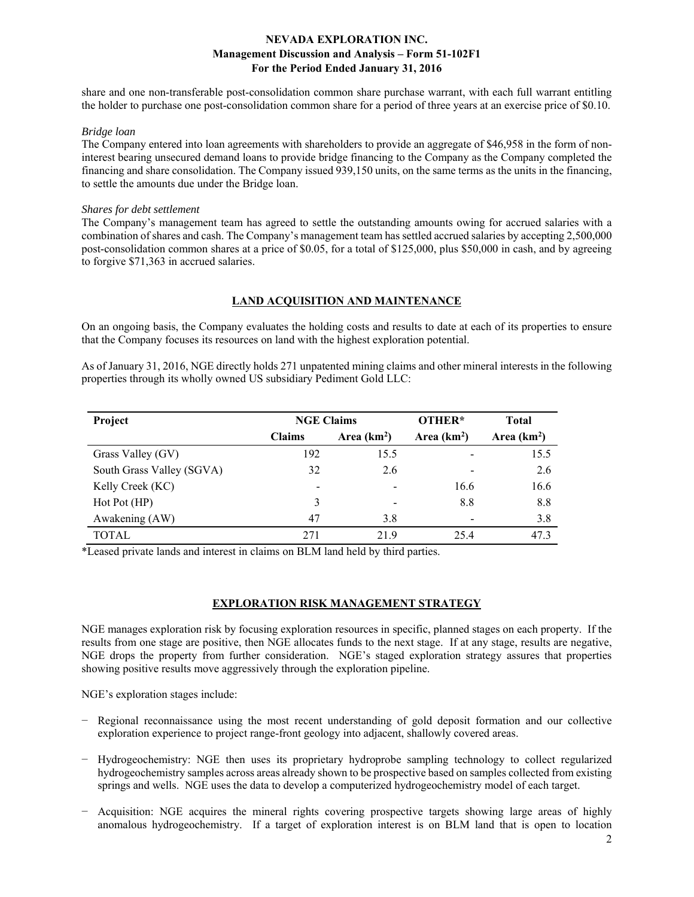share and one non-transferable post-consolidation common share purchase warrant, with each full warrant entitling the holder to purchase one post-consolidation common share for a period of three years at an exercise price of \$0.10.

### *Bridge loan*

The Company entered into loan agreements with shareholders to provide an aggregate of \$46,958 in the form of noninterest bearing unsecured demand loans to provide bridge financing to the Company as the Company completed the financing and share consolidation. The Company issued 939,150 units, on the same terms as the units in the financing, to settle the amounts due under the Bridge loan.

#### *Shares for debt settlement*

The Company's management team has agreed to settle the outstanding amounts owing for accrued salaries with a combination of shares and cash. The Company's management team has settled accrued salaries by accepting 2,500,000 post-consolidation common shares at a price of \$0.05, for a total of \$125,000, plus \$50,000 in cash, and by agreeing to forgive \$71,363 in accrued salaries.

### **LAND ACQUISITION AND MAINTENANCE**

On an ongoing basis, the Company evaluates the holding costs and results to date at each of its properties to ensure that the Company focuses its resources on land with the highest exploration potential.

As of January 31, 2016, NGE directly holds 271 unpatented mining claims and other mineral interests in the following properties through its wholly owned US subsidiary Pediment Gold LLC:

| Project                   | <b>NGE Claims</b> |               | OTHER*        | <b>Total</b> |
|---------------------------|-------------------|---------------|---------------|--------------|
|                           | <b>Claims</b>     | Area $(km^2)$ | Area $(km^2)$ | Area $(km2)$ |
| Grass Valley (GV)         | 192               | 15.5          |               | 15.5         |
| South Grass Valley (SGVA) | 32                | 2.6           |               | 2.6          |
| Kelly Creek (KC)          |                   |               | 16.6          | 16.6         |
| Hot Pot (HP)              | 3                 |               | 8.8           | 8.8          |
| Awakening (AW)            | 47                | 3.8           |               | 3.8          |
| <b>TOTAL</b>              | 271               | 21.9          | 25.4          | 47.3         |

\*Leased private lands and interest in claims on BLM land held by third parties.

### **EXPLORATION RISK MANAGEMENT STRATEGY**

NGE manages exploration risk by focusing exploration resources in specific, planned stages on each property. If the results from one stage are positive, then NGE allocates funds to the next stage. If at any stage, results are negative, NGE drops the property from further consideration. NGE's staged exploration strategy assures that properties showing positive results move aggressively through the exploration pipeline.

NGE's exploration stages include:

- Regional reconnaissance using the most recent understanding of gold deposit formation and our collective exploration experience to project range-front geology into adjacent, shallowly covered areas.
- − Hydrogeochemistry: NGE then uses its proprietary hydroprobe sampling technology to collect regularized hydrogeochemistry samples across areas already shown to be prospective based on samples collected from existing springs and wells. NGE uses the data to develop a computerized hydrogeochemistry model of each target.
- − Acquisition: NGE acquires the mineral rights covering prospective targets showing large areas of highly anomalous hydrogeochemistry. If a target of exploration interest is on BLM land that is open to location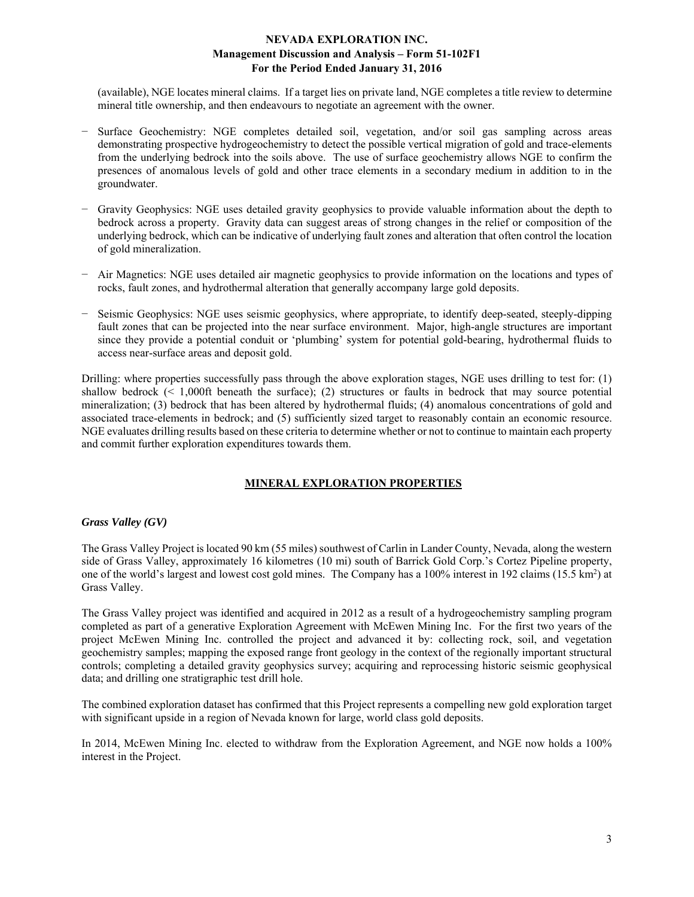(available), NGE locates mineral claims. If a target lies on private land, NGE completes a title review to determine mineral title ownership, and then endeavours to negotiate an agreement with the owner.

- − Surface Geochemistry: NGE completes detailed soil, vegetation, and/or soil gas sampling across areas demonstrating prospective hydrogeochemistry to detect the possible vertical migration of gold and trace-elements from the underlying bedrock into the soils above. The use of surface geochemistry allows NGE to confirm the presences of anomalous levels of gold and other trace elements in a secondary medium in addition to in the groundwater.
- − Gravity Geophysics: NGE uses detailed gravity geophysics to provide valuable information about the depth to bedrock across a property. Gravity data can suggest areas of strong changes in the relief or composition of the underlying bedrock, which can be indicative of underlying fault zones and alteration that often control the location of gold mineralization.
- − Air Magnetics: NGE uses detailed air magnetic geophysics to provide information on the locations and types of rocks, fault zones, and hydrothermal alteration that generally accompany large gold deposits.
- − Seismic Geophysics: NGE uses seismic geophysics, where appropriate, to identify deep-seated, steeply-dipping fault zones that can be projected into the near surface environment. Major, high-angle structures are important since they provide a potential conduit or 'plumbing' system for potential gold-bearing, hydrothermal fluids to access near-surface areas and deposit gold.

Drilling: where properties successfully pass through the above exploration stages, NGE uses drilling to test for: (1) shallow bedrock (< 1,000ft beneath the surface); (2) structures or faults in bedrock that may source potential mineralization; (3) bedrock that has been altered by hydrothermal fluids; (4) anomalous concentrations of gold and associated trace-elements in bedrock; and (5) sufficiently sized target to reasonably contain an economic resource. NGE evaluates drilling results based on these criteria to determine whether or not to continue to maintain each property and commit further exploration expenditures towards them.

# **MINERAL EXPLORATION PROPERTIES**

### *Grass Valley (GV)*

The Grass Valley Project is located 90 km (55 miles) southwest of Carlin in Lander County, Nevada, along the western side of Grass Valley, approximately 16 kilometres (10 mi) south of Barrick Gold Corp.'s Cortez Pipeline property, one of the world's largest and lowest cost gold mines. The Company has a 100% interest in 192 claims (15.5 km<sup>2</sup>) at Grass Valley.

The Grass Valley project was identified and acquired in 2012 as a result of a hydrogeochemistry sampling program completed as part of a generative Exploration Agreement with McEwen Mining Inc. For the first two years of the project McEwen Mining Inc. controlled the project and advanced it by: collecting rock, soil, and vegetation geochemistry samples; mapping the exposed range front geology in the context of the regionally important structural controls; completing a detailed gravity geophysics survey; acquiring and reprocessing historic seismic geophysical data; and drilling one stratigraphic test drill hole.

The combined exploration dataset has confirmed that this Project represents a compelling new gold exploration target with significant upside in a region of Nevada known for large, world class gold deposits.

In 2014, McEwen Mining Inc. elected to withdraw from the Exploration Agreement, and NGE now holds a 100% interest in the Project.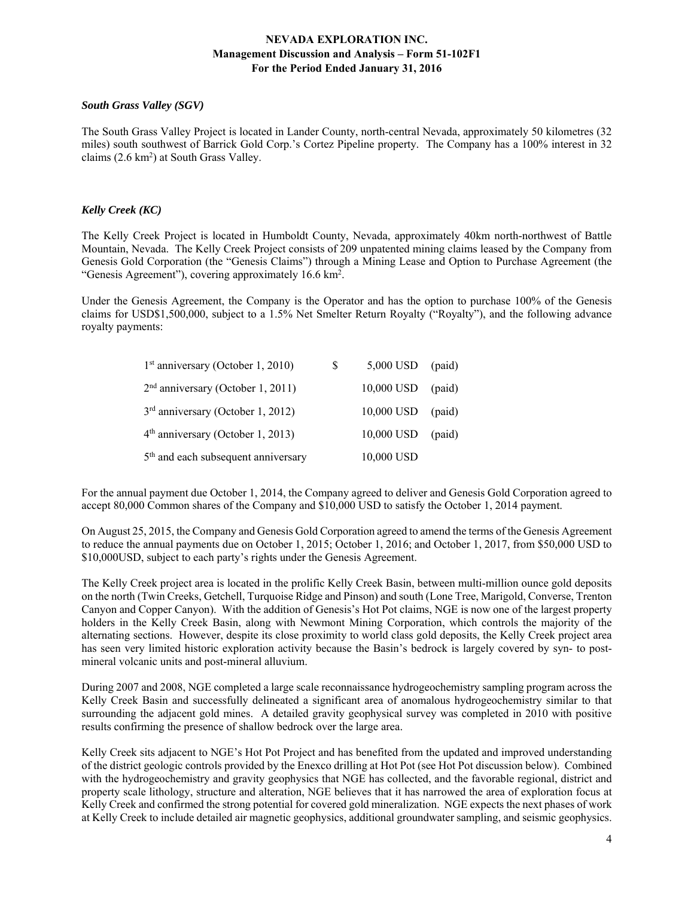### *South Grass Valley (SGV)*

The South Grass Valley Project is located in Lander County, north-central Nevada, approximately 50 kilometres (32 miles) south southwest of Barrick Gold Corp.'s Cortez Pipeline property. The Company has a 100% interest in 32 claims (2.6 km<sup>2</sup>) at South Grass Valley.

### *Kelly Creek (KC)*

The Kelly Creek Project is located in Humboldt County, Nevada, approximately 40km north-northwest of Battle Mountain, Nevada. The Kelly Creek Project consists of 209 unpatented mining claims leased by the Company from Genesis Gold Corporation (the "Genesis Claims") through a Mining Lease and Option to Purchase Agreement (the "Genesis Agreement"), covering approximately 16.6 km<sup>2</sup>.

Under the Genesis Agreement, the Company is the Operator and has the option to purchase 100% of the Genesis claims for USD\$1,500,000, subject to a 1.5% Net Smelter Return Royalty ("Royalty"), and the following advance royalty payments:

| $1st$ anniversary (October 1, 2010)             | S | $5,000$ USD (paid) |        |
|-------------------------------------------------|---|--------------------|--------|
| $2nd$ anniversary (October 1, 2011)             |   | 10,000 USD         | (paid) |
| $3rd$ anniversary (October 1, 2012)             |   | 10,000 USD         | (paid) |
| $4th$ anniversary (October 1, 2013)             |   | 10,000 USD         | (paid) |
| 5 <sup>th</sup> and each subsequent anniversary |   | 10,000 USD         |        |

For the annual payment due October 1, 2014, the Company agreed to deliver and Genesis Gold Corporation agreed to accept 80,000 Common shares of the Company and \$10,000 USD to satisfy the October 1, 2014 payment.

On August 25, 2015, the Company and Genesis Gold Corporation agreed to amend the terms of the Genesis Agreement to reduce the annual payments due on October 1, 2015; October 1, 2016; and October 1, 2017, from \$50,000 USD to \$10,000USD, subject to each party's rights under the Genesis Agreement.

The Kelly Creek project area is located in the prolific Kelly Creek Basin, between multi-million ounce gold deposits on the north (Twin Creeks, Getchell, Turquoise Ridge and Pinson) and south (Lone Tree, Marigold, Converse, Trenton Canyon and Copper Canyon). With the addition of Genesis's Hot Pot claims, NGE is now one of the largest property holders in the Kelly Creek Basin, along with Newmont Mining Corporation, which controls the majority of the alternating sections. However, despite its close proximity to world class gold deposits, the Kelly Creek project area has seen very limited historic exploration activity because the Basin's bedrock is largely covered by syn- to postmineral volcanic units and post-mineral alluvium.

During 2007 and 2008, NGE completed a large scale reconnaissance hydrogeochemistry sampling program across the Kelly Creek Basin and successfully delineated a significant area of anomalous hydrogeochemistry similar to that surrounding the adjacent gold mines. A detailed gravity geophysical survey was completed in 2010 with positive results confirming the presence of shallow bedrock over the large area.

Kelly Creek sits adjacent to NGE's Hot Pot Project and has benefited from the updated and improved understanding of the district geologic controls provided by the Enexco drilling at Hot Pot (see Hot Pot discussion below). Combined with the hydrogeochemistry and gravity geophysics that NGE has collected, and the favorable regional, district and property scale lithology, structure and alteration, NGE believes that it has narrowed the area of exploration focus at Kelly Creek and confirmed the strong potential for covered gold mineralization. NGE expects the next phases of work at Kelly Creek to include detailed air magnetic geophysics, additional groundwater sampling, and seismic geophysics.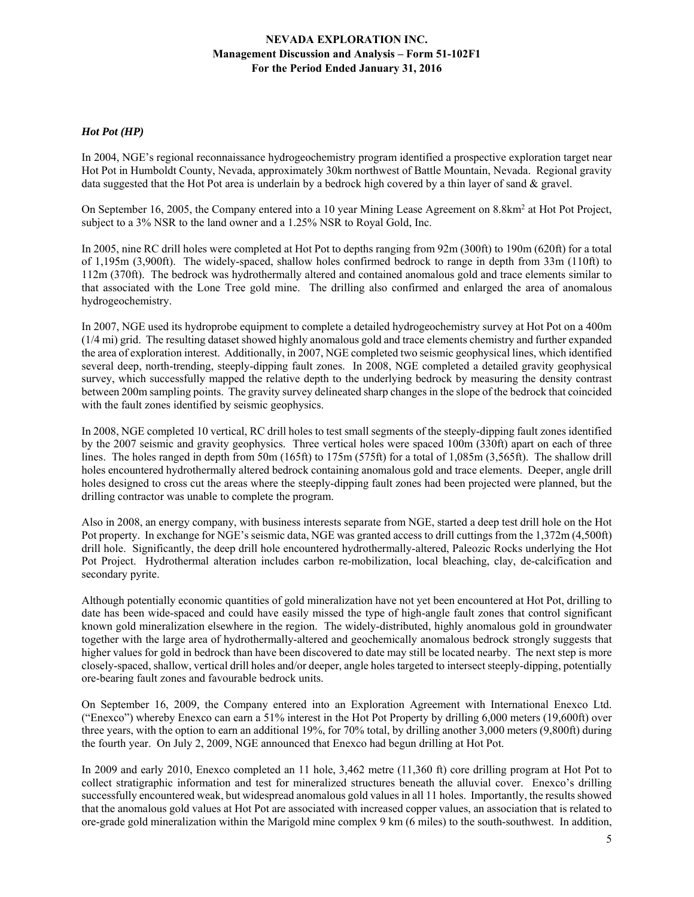## *Hot Pot (HP)*

In 2004, NGE's regional reconnaissance hydrogeochemistry program identified a prospective exploration target near Hot Pot in Humboldt County, Nevada, approximately 30km northwest of Battle Mountain, Nevada. Regional gravity data suggested that the Hot Pot area is underlain by a bedrock high covered by a thin layer of sand & gravel.

On September 16, 2005, the Company entered into a 10 year Mining Lease Agreement on 8.8km<sup>2</sup> at Hot Pot Project, subject to a 3% NSR to the land owner and a 1.25% NSR to Royal Gold, Inc.

In 2005, nine RC drill holes were completed at Hot Pot to depths ranging from 92m (300ft) to 190m (620ft) for a total of 1,195m (3,900ft). The widely-spaced, shallow holes confirmed bedrock to range in depth from 33m (110ft) to 112m (370ft). The bedrock was hydrothermally altered and contained anomalous gold and trace elements similar to that associated with the Lone Tree gold mine. The drilling also confirmed and enlarged the area of anomalous hydrogeochemistry.

In 2007, NGE used its hydroprobe equipment to complete a detailed hydrogeochemistry survey at Hot Pot on a 400m (1/4 mi) grid. The resulting dataset showed highly anomalous gold and trace elements chemistry and further expanded the area of exploration interest. Additionally, in 2007, NGE completed two seismic geophysical lines, which identified several deep, north-trending, steeply-dipping fault zones. In 2008, NGE completed a detailed gravity geophysical survey, which successfully mapped the relative depth to the underlying bedrock by measuring the density contrast between 200m sampling points. The gravity survey delineated sharp changes in the slope of the bedrock that coincided with the fault zones identified by seismic geophysics.

In 2008, NGE completed 10 vertical, RC drill holes to test small segments of the steeply-dipping fault zones identified by the 2007 seismic and gravity geophysics. Three vertical holes were spaced 100m (330ft) apart on each of three lines. The holes ranged in depth from 50m (165ft) to 175m (575ft) for a total of 1,085m (3,565ft). The shallow drill holes encountered hydrothermally altered bedrock containing anomalous gold and trace elements. Deeper, angle drill holes designed to cross cut the areas where the steeply-dipping fault zones had been projected were planned, but the drilling contractor was unable to complete the program.

Also in 2008, an energy company, with business interests separate from NGE, started a deep test drill hole on the Hot Pot property. In exchange for NGE's seismic data, NGE was granted access to drill cuttings from the 1,372m (4,500ft) drill hole. Significantly, the deep drill hole encountered hydrothermally-altered, Paleozic Rocks underlying the Hot Pot Project. Hydrothermal alteration includes carbon re-mobilization, local bleaching, clay, de-calcification and secondary pyrite.

Although potentially economic quantities of gold mineralization have not yet been encountered at Hot Pot, drilling to date has been wide-spaced and could have easily missed the type of high-angle fault zones that control significant known gold mineralization elsewhere in the region. The widely-distributed, highly anomalous gold in groundwater together with the large area of hydrothermally-altered and geochemically anomalous bedrock strongly suggests that higher values for gold in bedrock than have been discovered to date may still be located nearby. The next step is more closely-spaced, shallow, vertical drill holes and/or deeper, angle holes targeted to intersect steeply-dipping, potentially ore-bearing fault zones and favourable bedrock units.

On September 16, 2009, the Company entered into an Exploration Agreement with International Enexco Ltd. ("Enexco") whereby Enexco can earn a 51% interest in the Hot Pot Property by drilling 6,000 meters (19,600ft) over three years, with the option to earn an additional 19%, for 70% total, by drilling another 3,000 meters (9,800ft) during the fourth year. On July 2, 2009, NGE announced that Enexco had begun drilling at Hot Pot.

In 2009 and early 2010, Enexco completed an 11 hole, 3,462 metre (11,360 ft) core drilling program at Hot Pot to collect stratigraphic information and test for mineralized structures beneath the alluvial cover. Enexco's drilling successfully encountered weak, but widespread anomalous gold values in all 11 holes. Importantly, the results showed that the anomalous gold values at Hot Pot are associated with increased copper values, an association that is related to ore-grade gold mineralization within the Marigold mine complex 9 km (6 miles) to the south-southwest. In addition,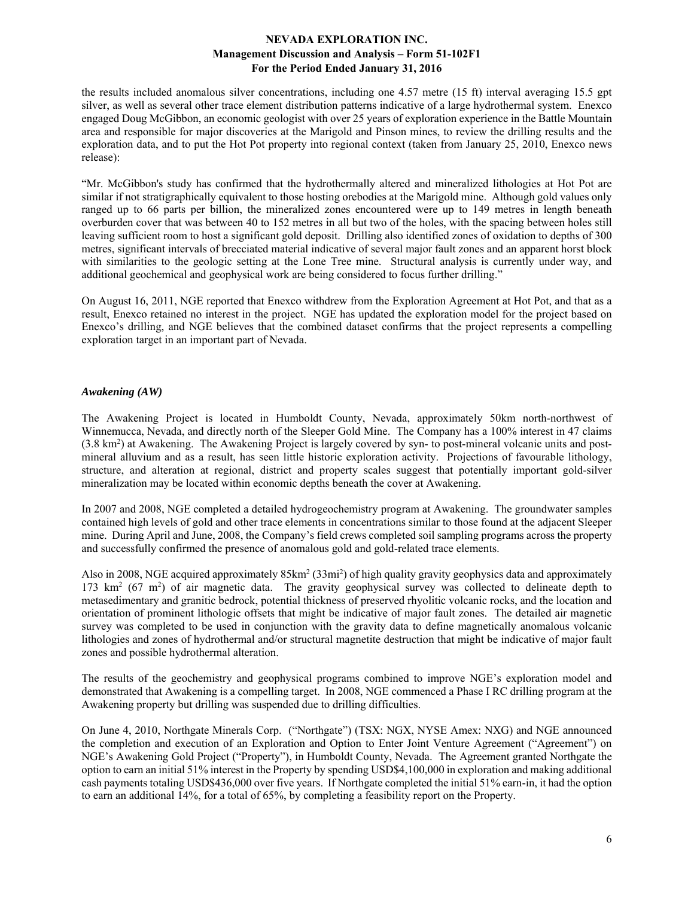the results included anomalous silver concentrations, including one 4.57 metre (15 ft) interval averaging 15.5 gpt silver, as well as several other trace element distribution patterns indicative of a large hydrothermal system. Enexco engaged Doug McGibbon, an economic geologist with over 25 years of exploration experience in the Battle Mountain area and responsible for major discoveries at the Marigold and Pinson mines, to review the drilling results and the exploration data, and to put the Hot Pot property into regional context (taken from January 25, 2010, Enexco news release):

"Mr. McGibbon's study has confirmed that the hydrothermally altered and mineralized lithologies at Hot Pot are similar if not stratigraphically equivalent to those hosting orebodies at the Marigold mine. Although gold values only ranged up to 66 parts per billion, the mineralized zones encountered were up to 149 metres in length beneath overburden cover that was between 40 to 152 metres in all but two of the holes, with the spacing between holes still leaving sufficient room to host a significant gold deposit. Drilling also identified zones of oxidation to depths of 300 metres, significant intervals of brecciated material indicative of several major fault zones and an apparent horst block with similarities to the geologic setting at the Lone Tree mine. Structural analysis is currently under way, and additional geochemical and geophysical work are being considered to focus further drilling."

On August 16, 2011, NGE reported that Enexco withdrew from the Exploration Agreement at Hot Pot, and that as a result, Enexco retained no interest in the project. NGE has updated the exploration model for the project based on Enexco's drilling, and NGE believes that the combined dataset confirms that the project represents a compelling exploration target in an important part of Nevada.

## *Awakening (AW)*

The Awakening Project is located in Humboldt County, Nevada, approximately 50km north-northwest of Winnemucca, Nevada, and directly north of the Sleeper Gold Mine. The Company has a 100% interest in 47 claims (3.8 km2 ) at Awakening. The Awakening Project is largely covered by syn- to post-mineral volcanic units and postmineral alluvium and as a result, has seen little historic exploration activity. Projections of favourable lithology, structure, and alteration at regional, district and property scales suggest that potentially important gold-silver mineralization may be located within economic depths beneath the cover at Awakening.

In 2007 and 2008, NGE completed a detailed hydrogeochemistry program at Awakening. The groundwater samples contained high levels of gold and other trace elements in concentrations similar to those found at the adjacent Sleeper mine. During April and June, 2008, the Company's field crews completed soil sampling programs across the property and successfully confirmed the presence of anomalous gold and gold-related trace elements.

Also in 2008, NGE acquired approximately 85km<sup>2</sup> (33mi<sup>2</sup>) of high quality gravity geophysics data and approximately  $173 \text{ km}^2$  (67 m<sup>2</sup>) of air magnetic data. The gravity geophysical survey was collected to delineate depth to metasedimentary and granitic bedrock, potential thickness of preserved rhyolitic volcanic rocks, and the location and orientation of prominent lithologic offsets that might be indicative of major fault zones. The detailed air magnetic survey was completed to be used in conjunction with the gravity data to define magnetically anomalous volcanic lithologies and zones of hydrothermal and/or structural magnetite destruction that might be indicative of major fault zones and possible hydrothermal alteration.

The results of the geochemistry and geophysical programs combined to improve NGE's exploration model and demonstrated that Awakening is a compelling target. In 2008, NGE commenced a Phase I RC drilling program at the Awakening property but drilling was suspended due to drilling difficulties.

On June 4, 2010, Northgate Minerals Corp. ("Northgate") (TSX: NGX, NYSE Amex: NXG) and NGE announced the completion and execution of an Exploration and Option to Enter Joint Venture Agreement ("Agreement") on NGE's Awakening Gold Project ("Property"), in Humboldt County, Nevada. The Agreement granted Northgate the option to earn an initial 51% interest in the Property by spending USD\$4,100,000 in exploration and making additional cash payments totaling USD\$436,000 over five years. If Northgate completed the initial 51% earn-in, it had the option to earn an additional 14%, for a total of 65%, by completing a feasibility report on the Property.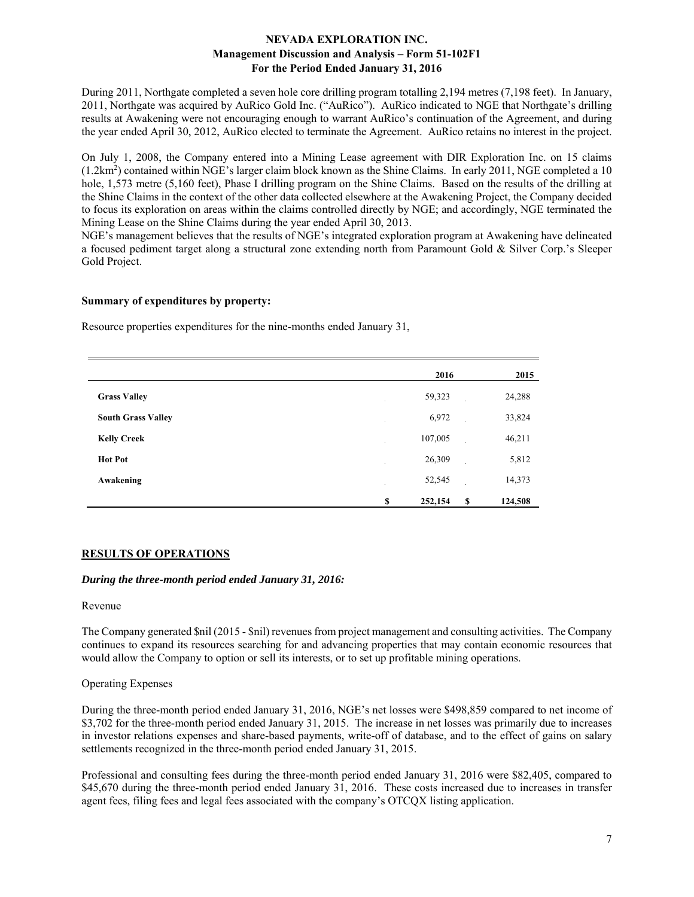During 2011, Northgate completed a seven hole core drilling program totalling 2,194 metres (7,198 feet). In January, 2011, Northgate was acquired by AuRico Gold Inc. ("AuRico"). AuRico indicated to NGE that Northgate's drilling results at Awakening were not encouraging enough to warrant AuRico's continuation of the Agreement, and during the year ended April 30, 2012, AuRico elected to terminate the Agreement. AuRico retains no interest in the project.

On July 1, 2008, the Company entered into a Mining Lease agreement with DIR Exploration Inc. on 15 claims (1.2km2 ) contained within NGE's larger claim block known as the Shine Claims. In early 2011, NGE completed a 10 hole, 1,573 metre (5,160 feet), Phase I drilling program on the Shine Claims. Based on the results of the drilling at the Shine Claims in the context of the other data collected elsewhere at the Awakening Project, the Company decided to focus its exploration on areas within the claims controlled directly by NGE; and accordingly, NGE terminated the Mining Lease on the Shine Claims during the year ended April 30, 2013.

NGE's management believes that the results of NGE's integrated exploration program at Awakening have delineated a focused pediment target along a structural zone extending north from Paramount Gold & Silver Corp.'s Sleeper Gold Project.

### **Summary of expenditures by property:**

Resource properties expenditures for the nine-months ended January 31,

|                           | 2016          |          | 2015    |
|---------------------------|---------------|----------|---------|
| <b>Grass Valley</b>       | 59,323        |          | 24,288  |
| <b>South Grass Valley</b> | 6,972         |          | 33,824  |
| <b>Kelly Creek</b>        | 107,005       |          | 46,211  |
| <b>Hot Pot</b>            | 26,309        |          | 5,812   |
| Awakening                 | 52,545        |          | 14,373  |
|                           | \$<br>252,154 | <b>S</b> | 124,508 |

## **RESULTS OF OPERATIONS**

### *During the three-month period ended January 31, 2016:*

### Revenue

The Company generated \$nil (2015 - \$nil) revenues from project management and consulting activities. The Company continues to expand its resources searching for and advancing properties that may contain economic resources that would allow the Company to option or sell its interests, or to set up profitable mining operations.

### Operating Expenses

During the three-month period ended January 31, 2016, NGE's net losses were \$498,859 compared to net income of \$3,702 for the three-month period ended January 31, 2015. The increase in net losses was primarily due to increases in investor relations expenses and share-based payments, write-off of database, and to the effect of gains on salary settlements recognized in the three-month period ended January 31, 2015.

Professional and consulting fees during the three-month period ended January 31, 2016 were \$82,405, compared to \$45,670 during the three-month period ended January 31, 2016. These costs increased due to increases in transfer agent fees, filing fees and legal fees associated with the company's OTCQX listing application.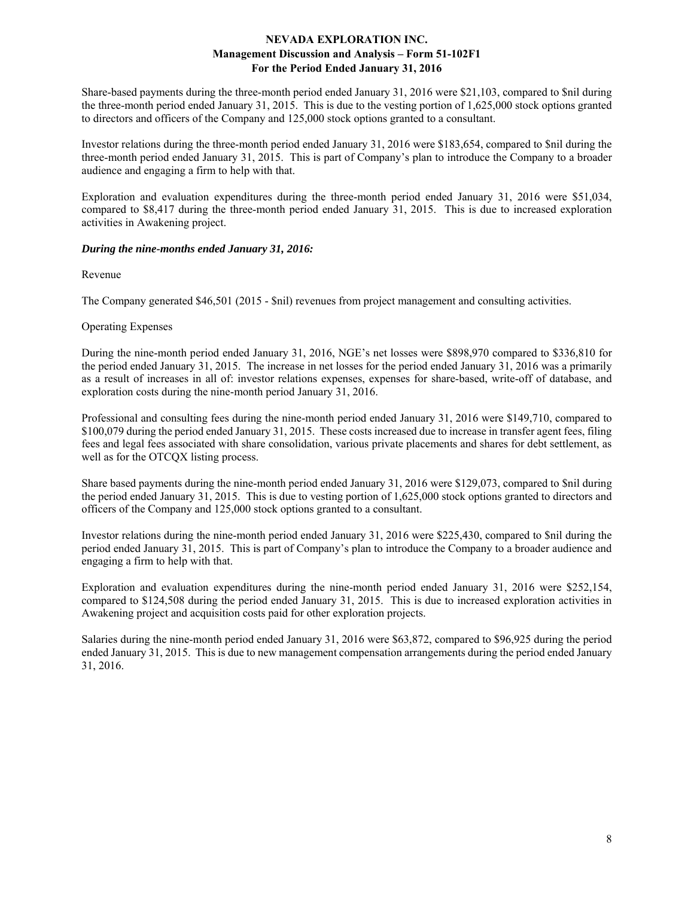Share-based payments during the three-month period ended January 31, 2016 were \$21,103, compared to \$nil during the three-month period ended January 31, 2015. This is due to the vesting portion of 1,625,000 stock options granted to directors and officers of the Company and 125,000 stock options granted to a consultant.

Investor relations during the three-month period ended January 31, 2016 were \$183,654, compared to \$nil during the three-month period ended January 31, 2015. This is part of Company's plan to introduce the Company to a broader audience and engaging a firm to help with that.

Exploration and evaluation expenditures during the three-month period ended January 31, 2016 were \$51,034, compared to \$8,417 during the three-month period ended January 31, 2015. This is due to increased exploration activities in Awakening project.

### *During the nine-months ended January 31, 2016:*

Revenue

The Company generated \$46,501 (2015 - \$nil) revenues from project management and consulting activities.

### Operating Expenses

During the nine-month period ended January 31, 2016, NGE's net losses were \$898,970 compared to \$336,810 for the period ended January 31, 2015. The increase in net losses for the period ended January 31, 2016 was a primarily as a result of increases in all of: investor relations expenses, expenses for share-based, write-off of database, and exploration costs during the nine-month period January 31, 2016.

Professional and consulting fees during the nine-month period ended January 31, 2016 were \$149,710, compared to \$100,079 during the period ended January 31, 2015. These costs increased due to increase in transfer agent fees, filing fees and legal fees associated with share consolidation, various private placements and shares for debt settlement, as well as for the OTCQX listing process.

Share based payments during the nine-month period ended January 31, 2016 were \$129,073, compared to \$nil during the period ended January 31, 2015. This is due to vesting portion of 1,625,000 stock options granted to directors and officers of the Company and 125,000 stock options granted to a consultant.

Investor relations during the nine-month period ended January 31, 2016 were \$225,430, compared to \$nil during the period ended January 31, 2015. This is part of Company's plan to introduce the Company to a broader audience and engaging a firm to help with that.

Exploration and evaluation expenditures during the nine-month period ended January 31, 2016 were \$252,154, compared to \$124,508 during the period ended January 31, 2015. This is due to increased exploration activities in Awakening project and acquisition costs paid for other exploration projects.

Salaries during the nine-month period ended January 31, 2016 were \$63,872, compared to \$96,925 during the period ended January 31, 2015. This is due to new management compensation arrangements during the period ended January 31, 2016.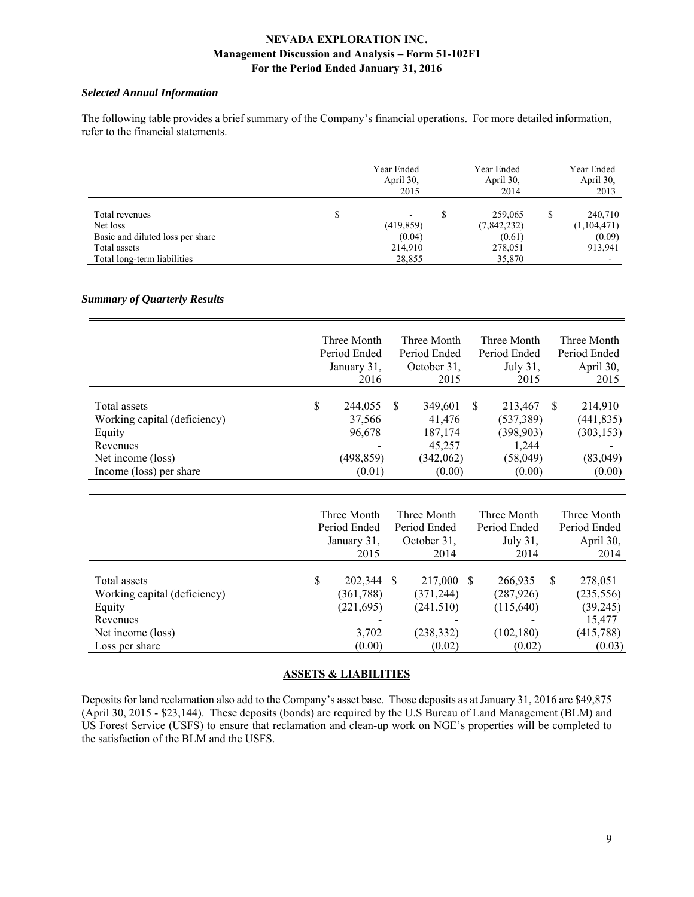### *Selected Annual Information*

The following table provides a brief summary of the Company's financial operations. For more detailed information, refer to the financial statements.

|                                  | Year Ended<br>April 30,<br>2015 |   | Year Ended<br>April 30,<br>2014 |   | Year Ended<br>April 30,<br>2013 |
|----------------------------------|---------------------------------|---|---------------------------------|---|---------------------------------|
| Total revenues                   | \$<br>$\overline{\phantom{0}}$  | S | 259,065                         | S | 240,710                         |
| Net loss                         | (419, 859)                      |   | (7,842,232)                     |   | (1,104,471)                     |
| Basic and diluted loss per share | (0.04)                          |   | (0.61)                          |   | (0.09)                          |
| Total assets                     | 214,910                         |   | 278,051                         |   | 913,941                         |
| Total long-term liabilities      | 28,855                          |   | 35,870                          |   |                                 |

## *Summary of Quarterly Results*

|                                                                                                                    | Three Month<br>Period Ended<br>January 31,<br>2016                                   |    | Three Month<br>Period Ended<br>October 31,<br>2015            |              | Three Month<br>Period Ended<br>July 31,<br>2015                     | Three Month<br>Period Ended<br>April 30,<br>2015          |
|--------------------------------------------------------------------------------------------------------------------|--------------------------------------------------------------------------------------|----|---------------------------------------------------------------|--------------|---------------------------------------------------------------------|-----------------------------------------------------------|
| Total assets<br>Working capital (deficiency)<br>Equity<br>Revenues<br>Net income (loss)<br>Income (loss) per share | \$<br>244,055<br>37,566<br>96,678<br>$\overline{\phantom{a}}$<br>(498,859)<br>(0.01) | -S | 349,601<br>41,476<br>187,174<br>45,257<br>(342,062)<br>(0.00) | <sup>S</sup> | 213,467<br>(537, 389)<br>(398, 903)<br>1,244<br>(58, 049)<br>(0.00) | 214,910<br>(441, 835)<br>(303, 153)<br>(83,049)<br>(0.00) |

|                                                                    |   | Three Month<br>Period Ended<br>January 31,<br>2015 | Three Month<br>Period Ended<br>October 31,<br>2014 |    | Three Month<br>Period Ended<br>July 31,<br>2014 |   | Three Month<br>Period Ended<br>April 30,<br>2014 |
|--------------------------------------------------------------------|---|----------------------------------------------------|----------------------------------------------------|----|-------------------------------------------------|---|--------------------------------------------------|
| Total assets<br>Working capital (deficiency)<br>Equity<br>Revenues | S | 202,344 \$<br>(361, 788)<br>(221, 695)             | 217,000<br>(371, 244)<br>(241,510)                 | -S | 266,935<br>(287, 926)<br>(115,640)              | S | 278,051<br>(235, 556)<br>(39,245)<br>15,477      |
| Net income (loss)<br>Loss per share                                |   | 3,702<br>(0.00)                                    | (238, 332)<br>(0.02)                               |    | (102, 180)<br>(0.02)                            |   | (415, 788)<br>(0.03)                             |

# **ASSETS & LIABILITIES**

Deposits for land reclamation also add to the Company's asset base. Those deposits as at January 31, 2016 are \$49,875 (April 30, 2015 - \$23,144). These deposits (bonds) are required by the U.S Bureau of Land Management (BLM) and US Forest Service (USFS) to ensure that reclamation and clean-up work on NGE's properties will be completed to the satisfaction of the BLM and the USFS.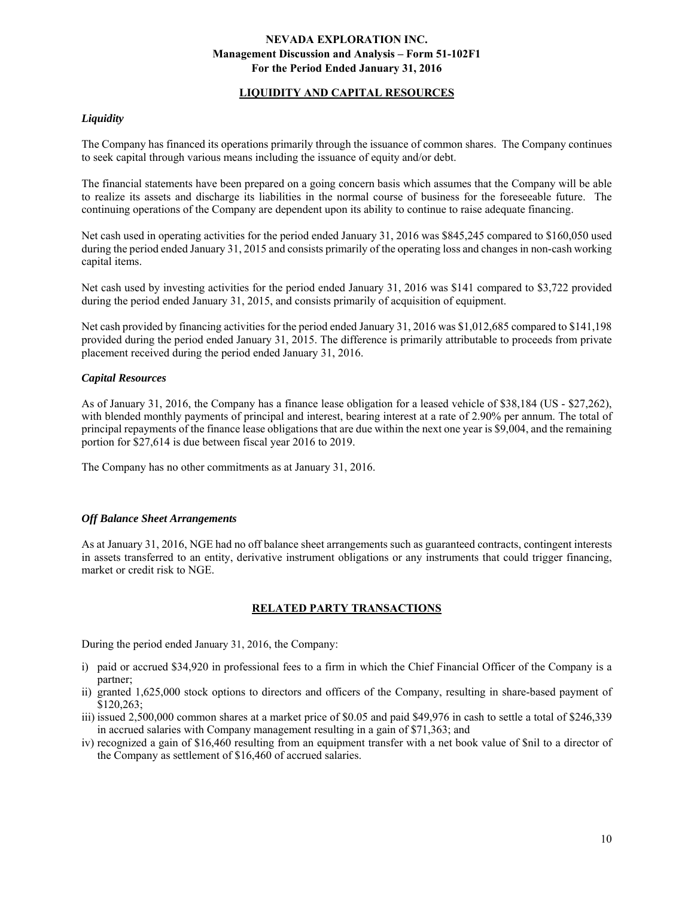## **LIQUIDITY AND CAPITAL RESOURCES**

### *Liquidity*

The Company has financed its operations primarily through the issuance of common shares. The Company continues to seek capital through various means including the issuance of equity and/or debt.

The financial statements have been prepared on a going concern basis which assumes that the Company will be able to realize its assets and discharge its liabilities in the normal course of business for the foreseeable future. The continuing operations of the Company are dependent upon its ability to continue to raise adequate financing.

Net cash used in operating activities for the period ended January 31, 2016 was \$845,245 compared to \$160,050 used during the period ended January 31, 2015 and consists primarily of the operating loss and changes in non-cash working capital items.

Net cash used by investing activities for the period ended January 31, 2016 was \$141 compared to \$3,722 provided during the period ended January 31, 2015, and consists primarily of acquisition of equipment.

Net cash provided by financing activities for the period ended January 31, 2016 was \$1,012,685 compared to \$141,198 provided during the period ended January 31, 2015. The difference is primarily attributable to proceeds from private placement received during the period ended January 31, 2016.

### *Capital Resources*

As of January 31, 2016, the Company has a finance lease obligation for a leased vehicle of \$38,184 (US - \$27,262), with blended monthly payments of principal and interest, bearing interest at a rate of 2.90% per annum. The total of principal repayments of the finance lease obligations that are due within the next one year is \$9,004, and the remaining portion for \$27,614 is due between fiscal year 2016 to 2019.

The Company has no other commitments as at January 31, 2016.

### *Off Balance Sheet Arrangements*

As at January 31, 2016, NGE had no off balance sheet arrangements such as guaranteed contracts, contingent interests in assets transferred to an entity, derivative instrument obligations or any instruments that could trigger financing, market or credit risk to NGE.

## **RELATED PARTY TRANSACTIONS**

During the period ended January 31, 2016, the Company:

- i) paid or accrued \$34,920 in professional fees to a firm in which the Chief Financial Officer of the Company is a partner;
- ii) granted 1,625,000 stock options to directors and officers of the Company, resulting in share-based payment of \$120,263;
- iii) issued 2,500,000 common shares at a market price of \$0.05 and paid \$49,976 in cash to settle a total of \$246,339 in accrued salaries with Company management resulting in a gain of \$71,363; and
- iv) recognized a gain of \$16,460 resulting from an equipment transfer with a net book value of \$nil to a director of the Company as settlement of \$16,460 of accrued salaries.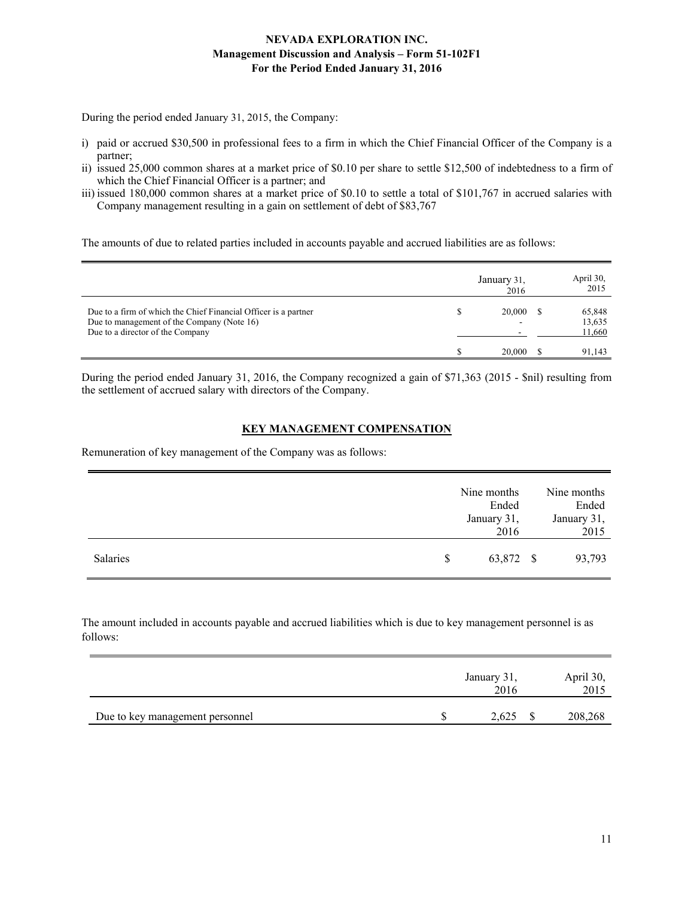During the period ended January 31, 2015, the Company:

- i) paid or accrued \$30,500 in professional fees to a firm in which the Chief Financial Officer of the Company is a partner;
- ii) issued 25,000 common shares at a market price of \$0.10 per share to settle \$12,500 of indebtedness to a firm of which the Chief Financial Officer is a partner; and
- iii) issued 180,000 common shares at a market price of \$0.10 to settle a total of \$101,767 in accrued salaries with Company management resulting in a gain on settlement of debt of \$83,767

The amounts of due to related parties included in accounts payable and accrued liabilities are as follows:

|                                                                                                                                                   | January 31,<br>2016 | April 30,<br>2015          |
|---------------------------------------------------------------------------------------------------------------------------------------------------|---------------------|----------------------------|
| Due to a firm of which the Chief Financial Officer is a partner<br>Due to management of the Company (Note 16)<br>Due to a director of the Company | 20,000              | 65,848<br>13,635<br>11,660 |
|                                                                                                                                                   | 20,000              | 91,143                     |

During the period ended January 31, 2016, the Company recognized a gain of \$71,363 (2015 - \$nil) resulting from the settlement of accrued salary with directors of the Company.

# **KEY MANAGEMENT COMPENSATION**

Remuneration of key management of the Company was as follows:

|                 |    | Nine months<br>Ended<br>January 31,<br>2016 | Nine months<br>Ended<br>January 31,<br>2015 |
|-----------------|----|---------------------------------------------|---------------------------------------------|
| <b>Salaries</b> | S. | 63,872 \$                                   | 93,793                                      |

The amount included in accounts payable and accrued liabilities which is due to key management personnel is as follows:

|                                 | January 31,<br>2016 | April 30,<br>2015 |
|---------------------------------|---------------------|-------------------|
| Due to key management personnel | 2,625               | 208,268           |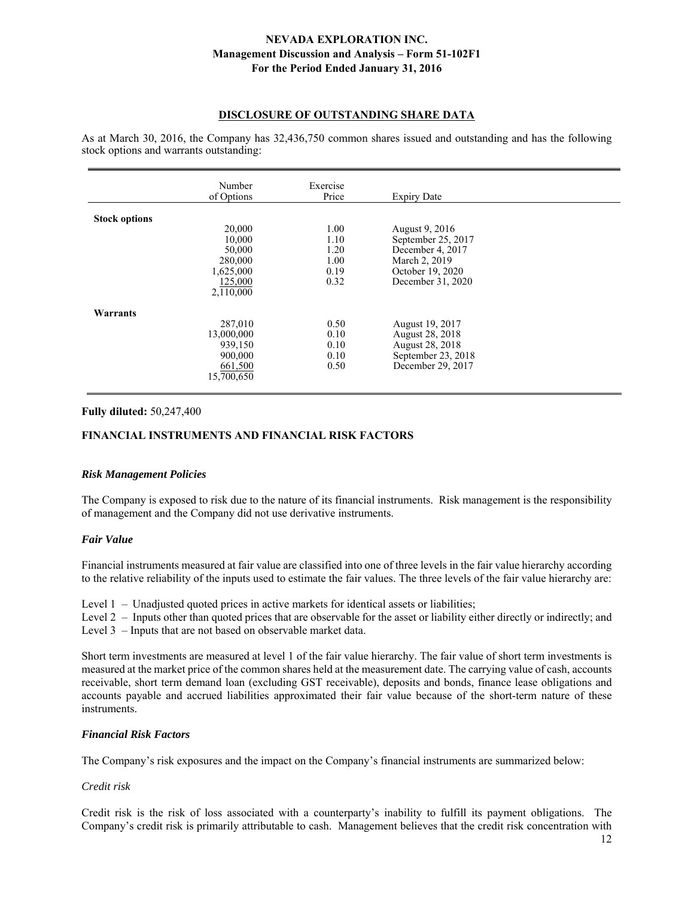### **DISCLOSURE OF OUTSTANDING SHARE DATA**

As at March 30, 2016, the Company has 32,436,750 common shares issued and outstanding and has the following stock options and warrants outstanding:

|                      | Number<br>of Options                                                       | Exercise<br>Price                            | <b>Expiry Date</b>                                                                                                 |  |
|----------------------|----------------------------------------------------------------------------|----------------------------------------------|--------------------------------------------------------------------------------------------------------------------|--|
| <b>Stock options</b> | 20,000<br>10,000<br>50,000<br>280,000<br>1,625,000<br>125,000<br>2,110,000 | 1.00<br>1.10<br>1.20<br>1.00<br>0.19<br>0.32 | August 9, 2016<br>September 25, 2017<br>December 4, 2017<br>March 2, 2019<br>October 19, 2020<br>December 31, 2020 |  |
| Warrants             | 287,010<br>13,000,000<br>939,150<br>900,000<br>661,500<br>15,700,650       | 0.50<br>0.10<br>0.10<br>0.10<br>0.50         | August 19, 2017<br>August 28, 2018<br>August 28, 2018<br>September 23, 2018<br>December 29, 2017                   |  |

### **Fully diluted:** 50,247,400

### **FINANCIAL INSTRUMENTS AND FINANCIAL RISK FACTORS**

### *Risk Management Policies*

The Company is exposed to risk due to the nature of its financial instruments. Risk management is the responsibility of management and the Company did not use derivative instruments.

### *Fair Value*

Financial instruments measured at fair value are classified into one of three levels in the fair value hierarchy according to the relative reliability of the inputs used to estimate the fair values. The three levels of the fair value hierarchy are:

- Level 1 Unadjusted quoted prices in active markets for identical assets or liabilities;
- Level 2 Inputs other than quoted prices that are observable for the asset or liability either directly or indirectly; and
- Level 3 Inputs that are not based on observable market data.

Short term investments are measured at level 1 of the fair value hierarchy. The fair value of short term investments is measured at the market price of the common shares held at the measurement date. The carrying value of cash, accounts receivable, short term demand loan (excluding GST receivable), deposits and bonds, finance lease obligations and accounts payable and accrued liabilities approximated their fair value because of the short-term nature of these instruments.

### *Financial Risk Factors*

The Company's risk exposures and the impact on the Company's financial instruments are summarized below:

*Credit risk* 

Credit risk is the risk of loss associated with a counterparty's inability to fulfill its payment obligations. The Company's credit risk is primarily attributable to cash. Management believes that the credit risk concentration with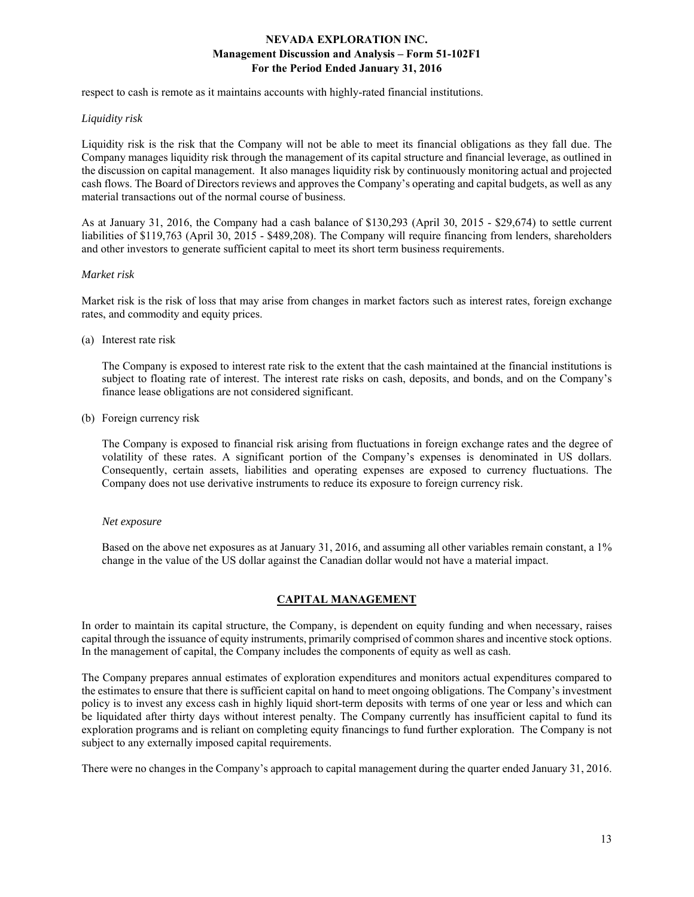respect to cash is remote as it maintains accounts with highly-rated financial institutions.

### *Liquidity risk*

Liquidity risk is the risk that the Company will not be able to meet its financial obligations as they fall due. The Company manages liquidity risk through the management of its capital structure and financial leverage, as outlined in the discussion on capital management. It also manages liquidity risk by continuously monitoring actual and projected cash flows. The Board of Directors reviews and approves the Company's operating and capital budgets, as well as any material transactions out of the normal course of business.

As at January 31, 2016, the Company had a cash balance of \$130,293 (April 30, 2015 - \$29,674) to settle current liabilities of \$119,763 (April 30, 2015 - \$489,208). The Company will require financing from lenders, shareholders and other investors to generate sufficient capital to meet its short term business requirements.

### *Market risk*

Market risk is the risk of loss that may arise from changes in market factors such as interest rates, foreign exchange rates, and commodity and equity prices.

(a) Interest rate risk

 The Company is exposed to interest rate risk to the extent that the cash maintained at the financial institutions is subject to floating rate of interest. The interest rate risks on cash, deposits, and bonds, and on the Company's finance lease obligations are not considered significant.

(b) Foreign currency risk

 The Company is exposed to financial risk arising from fluctuations in foreign exchange rates and the degree of volatility of these rates. A significant portion of the Company's expenses is denominated in US dollars. Consequently, certain assets, liabilities and operating expenses are exposed to currency fluctuations. The Company does not use derivative instruments to reduce its exposure to foreign currency risk.

### *Net exposure*

Based on the above net exposures as at January 31, 2016, and assuming all other variables remain constant, a 1% change in the value of the US dollar against the Canadian dollar would not have a material impact.

## **CAPITAL MANAGEMENT**

In order to maintain its capital structure, the Company, is dependent on equity funding and when necessary, raises capital through the issuance of equity instruments, primarily comprised of common shares and incentive stock options. In the management of capital, the Company includes the components of equity as well as cash.

The Company prepares annual estimates of exploration expenditures and monitors actual expenditures compared to the estimates to ensure that there is sufficient capital on hand to meet ongoing obligations. The Company's investment policy is to invest any excess cash in highly liquid short-term deposits with terms of one year or less and which can be liquidated after thirty days without interest penalty. The Company currently has insufficient capital to fund its exploration programs and is reliant on completing equity financings to fund further exploration. The Company is not subject to any externally imposed capital requirements.

There were no changes in the Company's approach to capital management during the quarter ended January 31, 2016.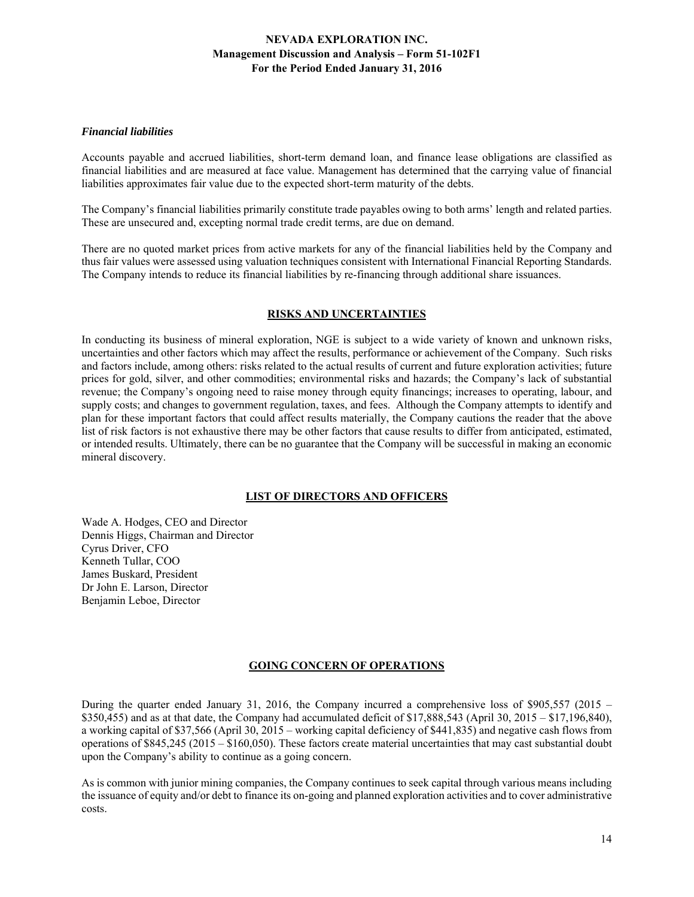## *Financial liabilities*

Accounts payable and accrued liabilities, short-term demand loan, and finance lease obligations are classified as financial liabilities and are measured at face value. Management has determined that the carrying value of financial liabilities approximates fair value due to the expected short-term maturity of the debts.

The Company's financial liabilities primarily constitute trade payables owing to both arms' length and related parties. These are unsecured and, excepting normal trade credit terms, are due on demand.

There are no quoted market prices from active markets for any of the financial liabilities held by the Company and thus fair values were assessed using valuation techniques consistent with International Financial Reporting Standards. The Company intends to reduce its financial liabilities by re-financing through additional share issuances.

## **RISKS AND UNCERTAINTIES**

In conducting its business of mineral exploration, NGE is subject to a wide variety of known and unknown risks, uncertainties and other factors which may affect the results, performance or achievement of the Company. Such risks and factors include, among others: risks related to the actual results of current and future exploration activities; future prices for gold, silver, and other commodities; environmental risks and hazards; the Company's lack of substantial revenue; the Company's ongoing need to raise money through equity financings; increases to operating, labour, and supply costs; and changes to government regulation, taxes, and fees. Although the Company attempts to identify and plan for these important factors that could affect results materially, the Company cautions the reader that the above list of risk factors is not exhaustive there may be other factors that cause results to differ from anticipated, estimated, or intended results. Ultimately, there can be no guarantee that the Company will be successful in making an economic mineral discovery.

## **LIST OF DIRECTORS AND OFFICERS**

Wade A. Hodges, CEO and Director Dennis Higgs, Chairman and Director Cyrus Driver, CFO Kenneth Tullar, COO James Buskard, President Dr John E. Larson, Director Benjamin Leboe, Director

## **GOING CONCERN OF OPERATIONS**

During the quarter ended January 31, 2016, the Company incurred a comprehensive loss of \$905,557 (2015 – \$350,455) and as at that date, the Company had accumulated deficit of \$17,888,543 (April 30, 2015 – \$17,196,840), a working capital of \$37,566 (April 30, 2015 – working capital deficiency of \$441,835) and negative cash flows from operations of \$845,245 (2015 – \$160,050). These factors create material uncertainties that may cast substantial doubt upon the Company's ability to continue as a going concern.

As is common with junior mining companies, the Company continues to seek capital through various means including the issuance of equity and/or debt to finance its on-going and planned exploration activities and to cover administrative costs.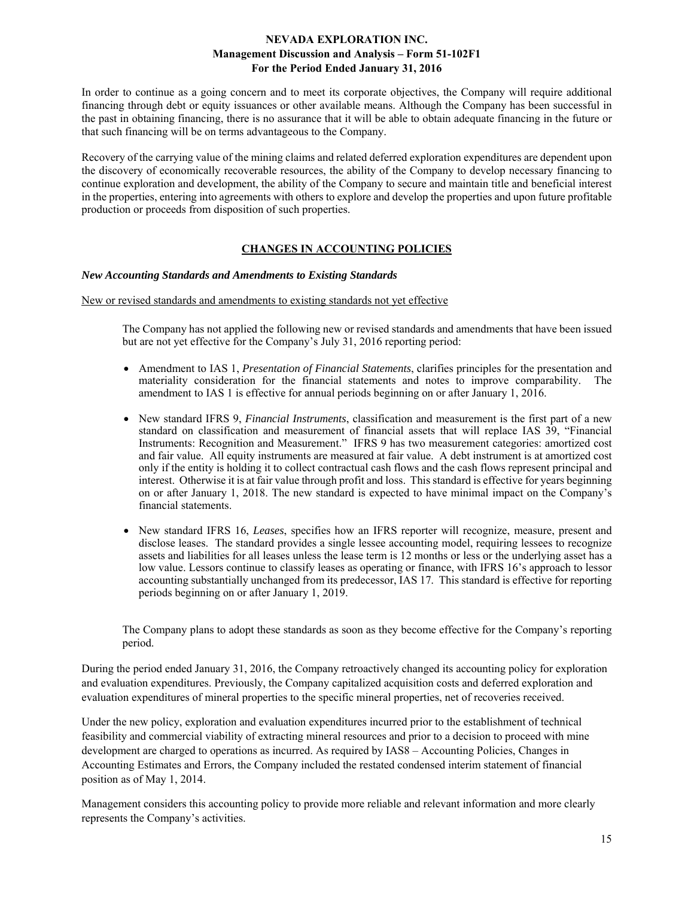In order to continue as a going concern and to meet its corporate objectives, the Company will require additional financing through debt or equity issuances or other available means. Although the Company has been successful in the past in obtaining financing, there is no assurance that it will be able to obtain adequate financing in the future or that such financing will be on terms advantageous to the Company.

Recovery of the carrying value of the mining claims and related deferred exploration expenditures are dependent upon the discovery of economically recoverable resources, the ability of the Company to develop necessary financing to continue exploration and development, the ability of the Company to secure and maintain title and beneficial interest in the properties, entering into agreements with others to explore and develop the properties and upon future profitable production or proceeds from disposition of such properties.

# **CHANGES IN ACCOUNTING POLICIES**

### *New Accounting Standards and Amendments to Existing Standards*

### New or revised standards and amendments to existing standards not yet effective

 The Company has not applied the following new or revised standards and amendments that have been issued but are not yet effective for the Company's July 31, 2016 reporting period:

- Amendment to IAS 1, *Presentation of Financial Statements*, clarifies principles for the presentation and materiality consideration for the financial statements and notes to improve comparability. The amendment to IAS 1 is effective for annual periods beginning on or after January 1, 2016.
- New standard IFRS 9, *Financial Instruments*, classification and measurement is the first part of a new standard on classification and measurement of financial assets that will replace IAS 39, "Financial Instruments: Recognition and Measurement." IFRS 9 has two measurement categories: amortized cost and fair value. All equity instruments are measured at fair value. A debt instrument is at amortized cost only if the entity is holding it to collect contractual cash flows and the cash flows represent principal and interest. Otherwise it is at fair value through profit and loss. This standard is effective for years beginning on or after January 1, 2018. The new standard is expected to have minimal impact on the Company's financial statements.
- New standard IFRS 16, *Leases*, specifies how an IFRS reporter will recognize, measure, present and disclose leases. The standard provides a single lessee accounting model, requiring lessees to recognize assets and liabilities for all leases unless the lease term is 12 months or less or the underlying asset has a low value. Lessors continue to classify leases as operating or finance, with IFRS 16's approach to lessor accounting substantially unchanged from its predecessor, IAS 17. This standard is effective for reporting periods beginning on or after January 1, 2019.

The Company plans to adopt these standards as soon as they become effective for the Company's reporting period.

During the period ended January 31, 2016, the Company retroactively changed its accounting policy for exploration and evaluation expenditures. Previously, the Company capitalized acquisition costs and deferred exploration and evaluation expenditures of mineral properties to the specific mineral properties, net of recoveries received.

Under the new policy, exploration and evaluation expenditures incurred prior to the establishment of technical feasibility and commercial viability of extracting mineral resources and prior to a decision to proceed with mine development are charged to operations as incurred. As required by IAS8 – Accounting Policies, Changes in Accounting Estimates and Errors, the Company included the restated condensed interim statement of financial position as of May 1, 2014.

Management considers this accounting policy to provide more reliable and relevant information and more clearly represents the Company's activities.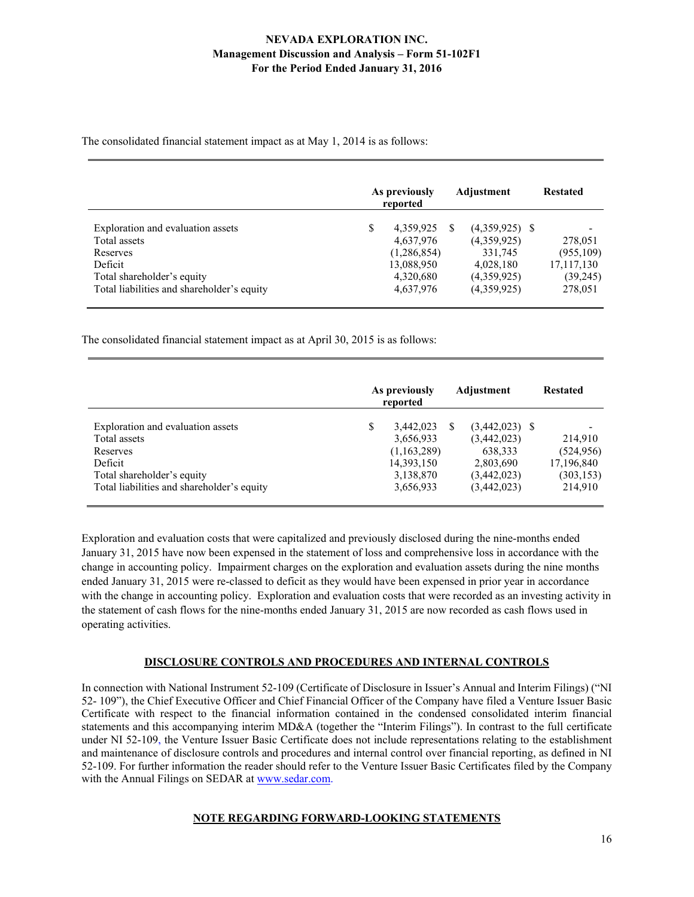The consolidated financial statement impact as at May 1, 2014 is as follows:

|                                                                                                                                                      |   | As previously<br>reported                                                     | Adjustment                                                                            | <b>Restated</b>                                            |
|------------------------------------------------------------------------------------------------------------------------------------------------------|---|-------------------------------------------------------------------------------|---------------------------------------------------------------------------------------|------------------------------------------------------------|
| Exploration and evaluation assets<br>Total assets<br>Reserves<br>Deficit<br>Total shareholder's equity<br>Total liabilities and shareholder's equity | S | 4,359,925<br>4,637,976<br>(1,286,854)<br>13,088,950<br>4,320,680<br>4,637,976 | $(4,359,925)$ \$<br>(4,359,925)<br>331,745<br>4,028,180<br>(4,359,925)<br>(4,359,925) | 278,051<br>(955,109)<br>17,117,130<br>(39, 245)<br>278,051 |

The consolidated financial statement impact as at April 30, 2015 is as follows:

|                                                                                                                                                      | As previously<br>reported                                                     | Adjustment                                                                            | <b>Restated</b>                                              |
|------------------------------------------------------------------------------------------------------------------------------------------------------|-------------------------------------------------------------------------------|---------------------------------------------------------------------------------------|--------------------------------------------------------------|
| Exploration and evaluation assets<br>Total assets<br>Reserves<br>Deficit<br>Total shareholder's equity<br>Total liabilities and shareholder's equity | 3.442,023<br>3,656,933<br>(1,163,289)<br>14,393,150<br>3,138,870<br>3,656,933 | $(3,442,023)$ \$<br>(3,442,023)<br>638,333<br>2,803,690<br>(3,442,023)<br>(3,442,023) | 214,910<br>(524, 956)<br>17,196,840<br>(303, 153)<br>214,910 |

Exploration and evaluation costs that were capitalized and previously disclosed during the nine-months ended January 31, 2015 have now been expensed in the statement of loss and comprehensive loss in accordance with the change in accounting policy. Impairment charges on the exploration and evaluation assets during the nine months ended January 31, 2015 were re-classed to deficit as they would have been expensed in prior year in accordance with the change in accounting policy. Exploration and evaluation costs that were recorded as an investing activity in the statement of cash flows for the nine-months ended January 31, 2015 are now recorded as cash flows used in operating activities.

## **DISCLOSURE CONTROLS AND PROCEDURES AND INTERNAL CONTROLS**

In connection with National Instrument 52-109 (Certificate of Disclosure in Issuer's Annual and Interim Filings) ("NI 52- 109"), the Chief Executive Officer and Chief Financial Officer of the Company have filed a Venture Issuer Basic Certificate with respect to the financial information contained in the condensed consolidated interim financial statements and this accompanying interim MD&A (together the "Interim Filings"). In contrast to the full certificate under NI 52-109, the Venture Issuer Basic Certificate does not include representations relating to the establishment and maintenance of disclosure controls and procedures and internal control over financial reporting, as defined in NI 52-109. For further information the reader should refer to the Venture Issuer Basic Certificates filed by the Company with the Annual Filings on SEDAR at www.sedar.com.

## **NOTE REGARDING FORWARD-LOOKING STATEMENTS**